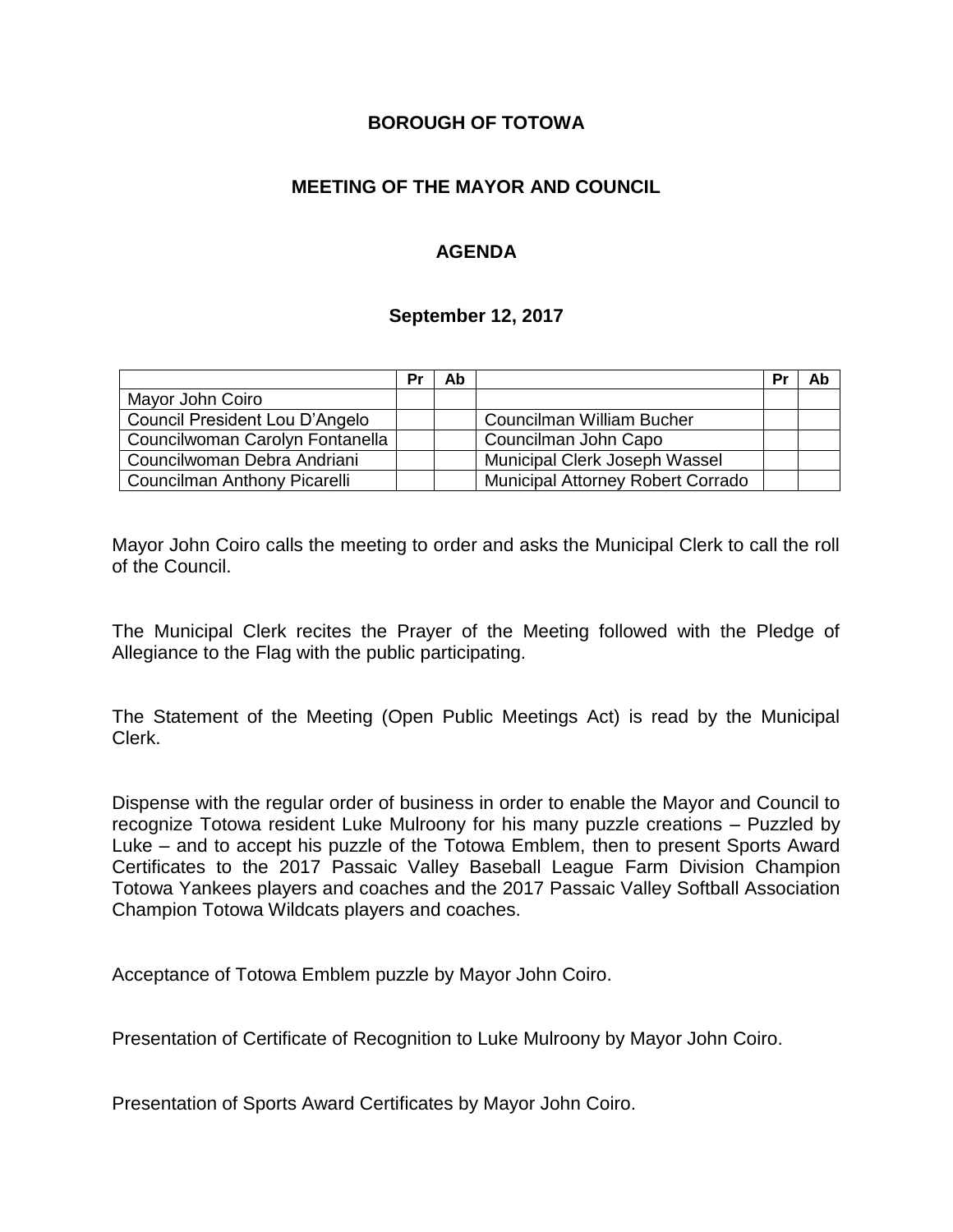### **BOROUGH OF TOTOWA**

## **MEETING OF THE MAYOR AND COUNCIL**

## **AGENDA**

#### **September 12, 2017**

|                                 | Pr | Ab |                                   | Pr | Ab |
|---------------------------------|----|----|-----------------------------------|----|----|
| Mayor John Coiro                |    |    |                                   |    |    |
| Council President Lou D'Angelo  |    |    | Councilman William Bucher         |    |    |
| Councilwoman Carolyn Fontanella |    |    | Councilman John Capo              |    |    |
| Councilwoman Debra Andriani     |    |    | Municipal Clerk Joseph Wassel     |    |    |
| Councilman Anthony Picarelli    |    |    | Municipal Attorney Robert Corrado |    |    |

Mayor John Coiro calls the meeting to order and asks the Municipal Clerk to call the roll of the Council.

The Municipal Clerk recites the Prayer of the Meeting followed with the Pledge of Allegiance to the Flag with the public participating.

The Statement of the Meeting (Open Public Meetings Act) is read by the Municipal Clerk.

Dispense with the regular order of business in order to enable the Mayor and Council to recognize Totowa resident Luke Mulroony for his many puzzle creations – Puzzled by Luke – and to accept his puzzle of the Totowa Emblem, then to present Sports Award Certificates to the 2017 Passaic Valley Baseball League Farm Division Champion Totowa Yankees players and coaches and the 2017 Passaic Valley Softball Association Champion Totowa Wildcats players and coaches.

Acceptance of Totowa Emblem puzzle by Mayor John Coiro.

Presentation of Certificate of Recognition to Luke Mulroony by Mayor John Coiro.

Presentation of Sports Award Certificates by Mayor John Coiro.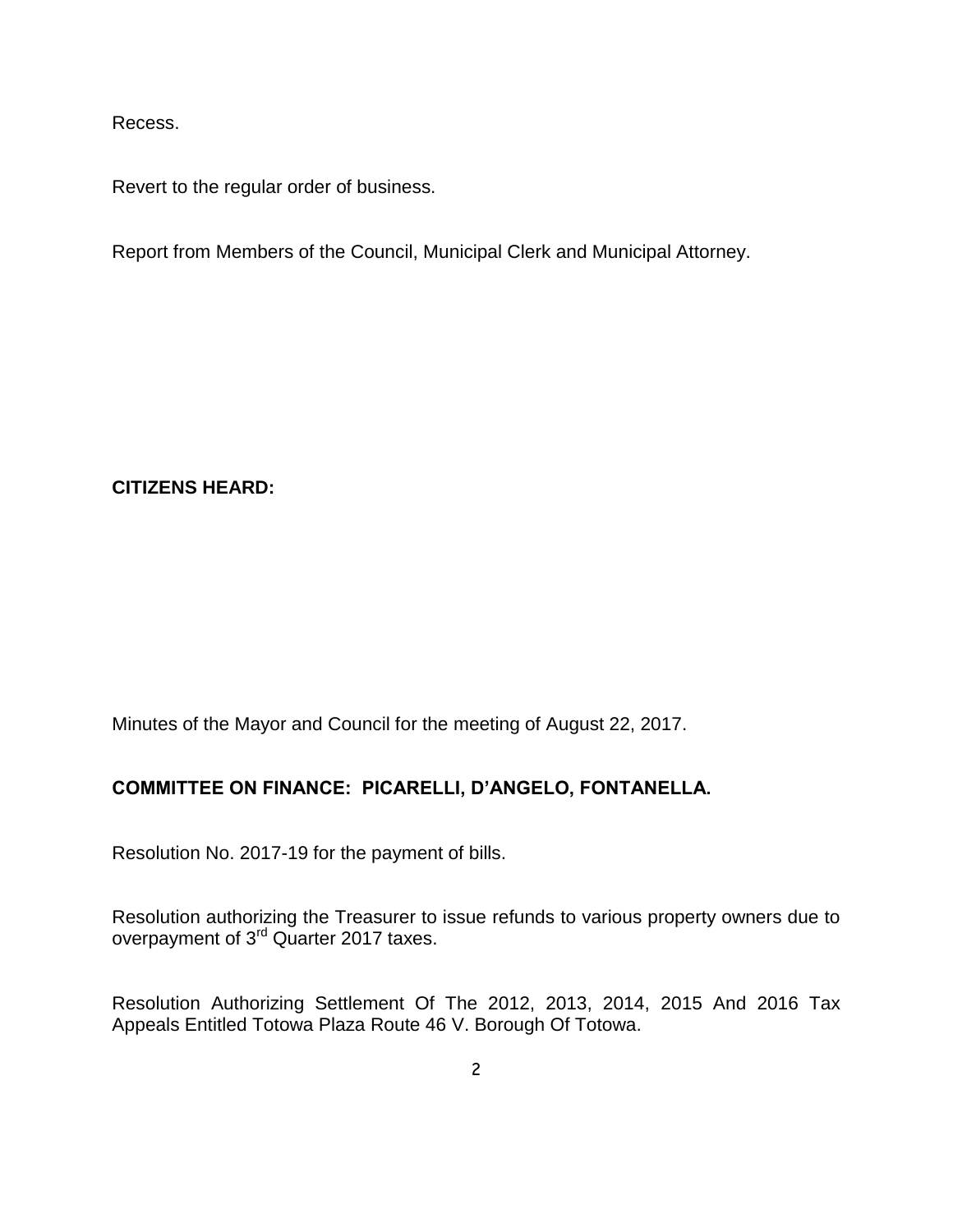Recess.

Revert to the regular order of business.

Report from Members of the Council, Municipal Clerk and Municipal Attorney.

**CITIZENS HEARD:**

Minutes of the Mayor and Council for the meeting of August 22, 2017.

### **COMMITTEE ON FINANCE: PICARELLI, D'ANGELO, FONTANELLA.**

Resolution No. 2017-19 for the payment of bills.

Resolution authorizing the Treasurer to issue refunds to various property owners due to overpayment of 3<sup>rd</sup> Quarter 2017 taxes.

Resolution Authorizing Settlement Of The 2012, 2013, 2014, 2015 And 2016 Tax Appeals Entitled Totowa Plaza Route 46 V. Borough Of Totowa.